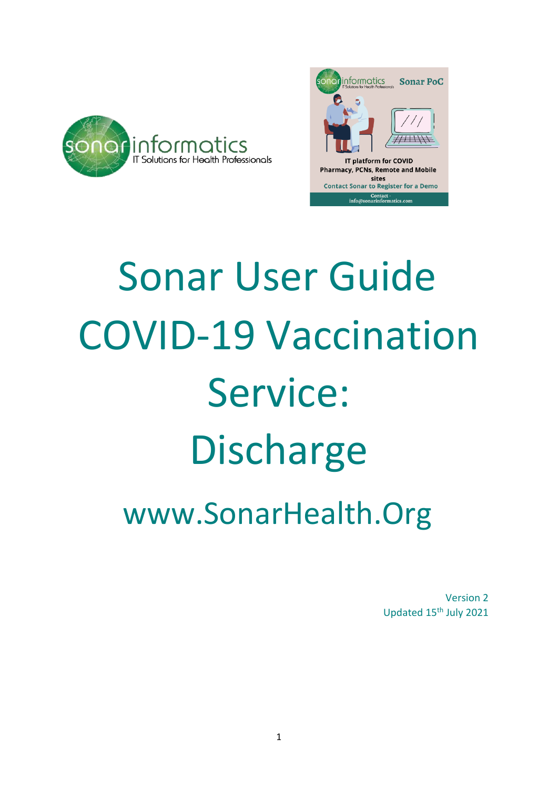



## Sonar User Guide COVID-19 Vaccination Service: Discharge www.SonarHealth.Org

Version 2 Updated 15th July 2021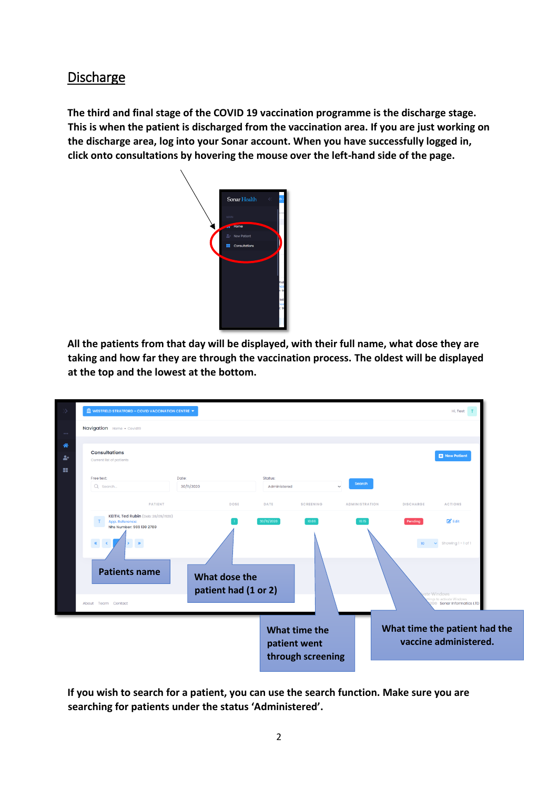## Discharge

**The third and final stage of the COVID 19 vaccination programme is the discharge stage. This is when the patient is discharged from the vaccination area. If you are just working on the discharge area, log into your Sonar account. When you have successfully logged in, click onto consultations by hovering the mouse over the left-hand side of the page.** 



**All the patients from that day will be displayed, with their full name, what dose they are taking and how far they are through the vaccination process. The oldest will be displayed at the top and the lowest at the bottom.**



**If you wish to search for a patient, you can use the search function. Make sure you are searching for patients under the status 'Administered'.**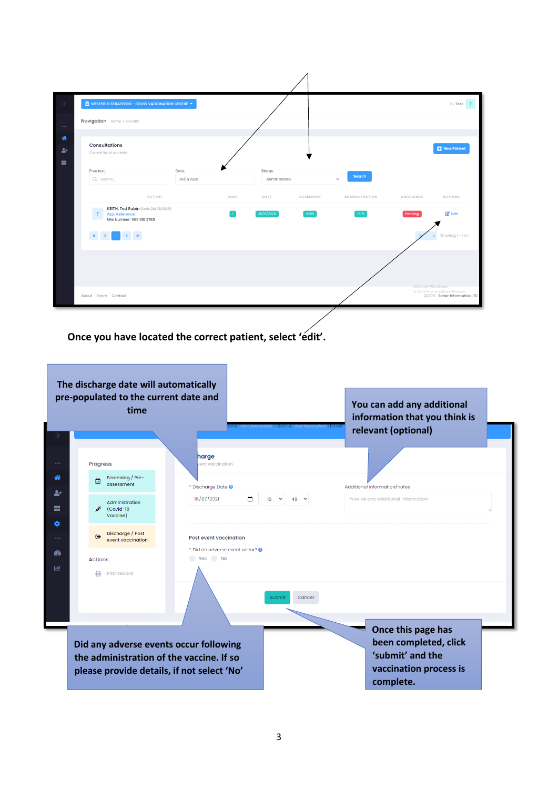|                                 | <b>E</b> WESTFIELD STRATFORD - COVID VACCINATION CENTRE $\blacktriangledown$                                                                     |                     |             |                         |                  |                        |                  | Hi, Test <sub>T</sub>                                              |
|---------------------------------|--------------------------------------------------------------------------------------------------------------------------------------------------|---------------------|-------------|-------------------------|------------------|------------------------|------------------|--------------------------------------------------------------------|
| $\alpha$ and $\alpha$           | Navigation Home . Covid19                                                                                                                        |                     |             |                         |                  |                        |                  |                                                                    |
| 眷<br>$\blacktriangleright$<br>農 | <b>Consultations</b><br>Current list of patients                                                                                                 |                     |             |                         |                  |                        |                  | New Patient                                                        |
|                                 | Free text:<br>Q Search                                                                                                                           | Date:<br>30/11/2020 |             | Status:<br>Administered |                  | Search<br>$\checkmark$ |                  |                                                                    |
|                                 | PATIENT                                                                                                                                          |                     | <b>DOSE</b> | DATE                    | <b>SCREENING</b> | <b>ADMINISTRATION</b>  | <b>DISCHARGE</b> | <b>ACTIONS</b>                                                     |
|                                 | <b>KEITH, Ted Rubin</b> (Dob: 28/09/1928)<br>T App. Reference:<br>Nhs Number: 969 130 2780                                                       |                     |             | 30/11/2020              | 10:06            | 16:15                  | Pending          | $\mathbb{Z}^{\bullet}$ Edit                                        |
|                                 | $\langle \mathbf{K} \rangle = \langle \mathbf{C} \rangle = \langle \mathbf{1} \rangle = \langle \mathbf{3} \rangle = \langle \mathbf{3} \rangle$ |                     |             |                         |                  |                        |                  | Showing 1-1 of 1                                                   |
|                                 |                                                                                                                                                  |                     |             |                         |                  |                        | Activate Windows |                                                                    |
|                                 | About Team Contact                                                                                                                               |                     |             |                         |                  |                        |                  | Go to Settings to activate Windows.<br>2020© Sonar Informatics LTD |

## **Once you have located the correct patient, select 'edit'.**

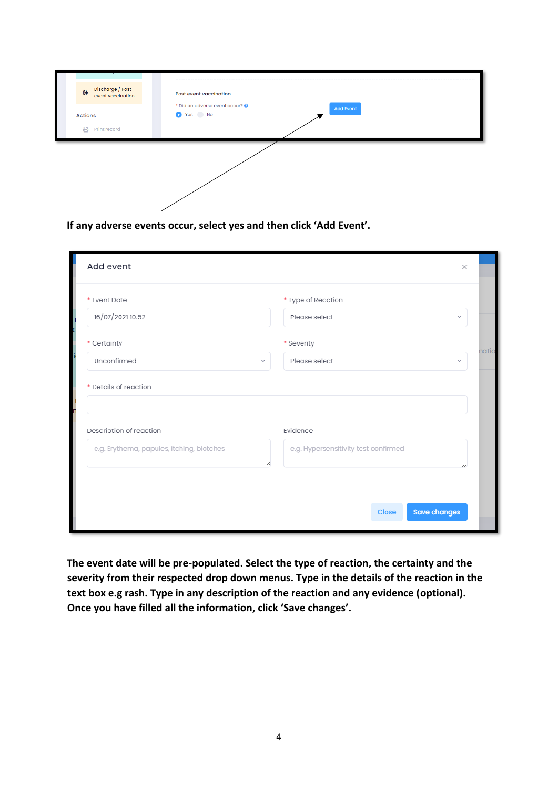| Discharge / Post<br>event vaccination<br>$\leftrightarrow$ | Post event vaccination                                        |
|------------------------------------------------------------|---------------------------------------------------------------|
| <b>Actions</b><br>₿<br>Print record                        | * Did an adverse event occur? @<br><b>Add Event</b><br>Yes No |
|                                                            |                                                               |

**If any adverse events occur, select yes and then click 'Add Event'.**

| Add event                                        |              | $\times$                             |       |
|--------------------------------------------------|--------------|--------------------------------------|-------|
| * Event Date                                     |              | * Type of Reaction                   |       |
| 16/07/2021 10:52                                 |              | Please select<br>$\checkmark$        |       |
| * Certainty                                      |              | * Severity                           | natio |
| Unconfirmed                                      | $\checkmark$ | Please select<br>$\mathcal{L}$       |       |
| * Details of reaction<br>Description of reaction |              | Evidence                             |       |
| e.g. Erythema, papules, itching, blotches        | //           | e.g. Hypersensitivity test confirmed |       |
|                                                  |              | Close                                |       |
|                                                  |              | <b>Save changes</b>                  |       |

**The event date will be pre-populated. Select the type of reaction, the certainty and the severity from their respected drop down menus. Type in the details of the reaction in the text box e.g rash. Type in any description of the reaction and any evidence (optional). Once you have filled all the information, click 'Save changes'.**